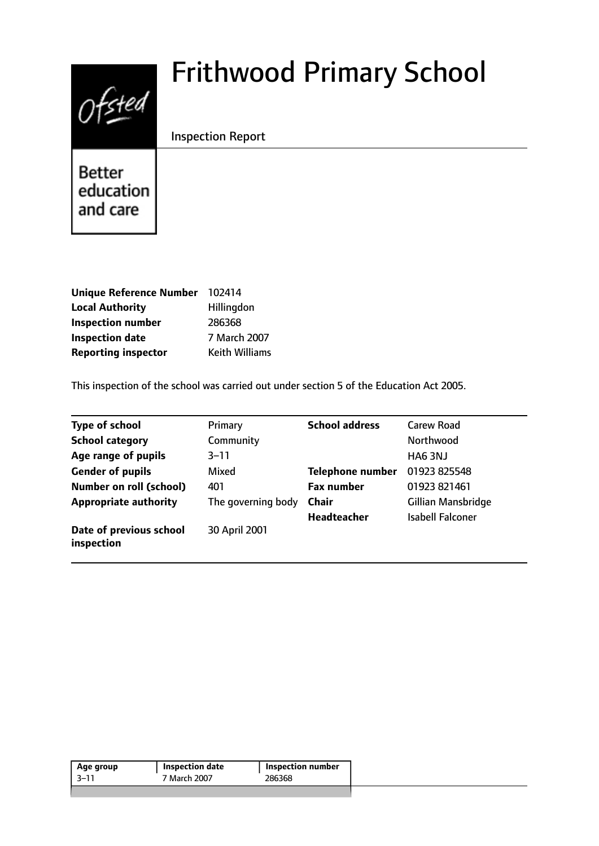# $0$ fsted

# Frithwood Primary School

Inspection Report

**Better** education and care

| Unique Reference Number 102414 |                       |
|--------------------------------|-----------------------|
| <b>Local Authority</b>         | Hillingdon            |
| <b>Inspection number</b>       | 286368                |
| <b>Inspection date</b>         | 7 March 2007          |
| <b>Reporting inspector</b>     | <b>Keith Williams</b> |

This inspection of the school was carried out under section 5 of the Education Act 2005.

| <b>Type of school</b>                 | Primary            | <b>School address</b>   | <b>Carew Road</b>       |
|---------------------------------------|--------------------|-------------------------|-------------------------|
| <b>School category</b>                | Community          |                         | Northwood               |
| Age range of pupils                   | $3 - 11$           |                         | HA6 3NJ                 |
| <b>Gender of pupils</b>               | Mixed              | <b>Telephone number</b> | 01923 825548            |
| <b>Number on roll (school)</b>        | 401                | <b>Fax number</b>       | 01923 821461            |
| <b>Appropriate authority</b>          | The governing body | <b>Chair</b>            | Gillian Mansbridge      |
|                                       |                    | <b>Headteacher</b>      | <b>Isabell Falconer</b> |
| Date of previous school<br>inspection | 30 April 2001      |                         |                         |

| Age group | Inspection date | Inspection number |
|-----------|-----------------|-------------------|
| -3–11     | 7 March 2007    | 286368            |
|           |                 |                   |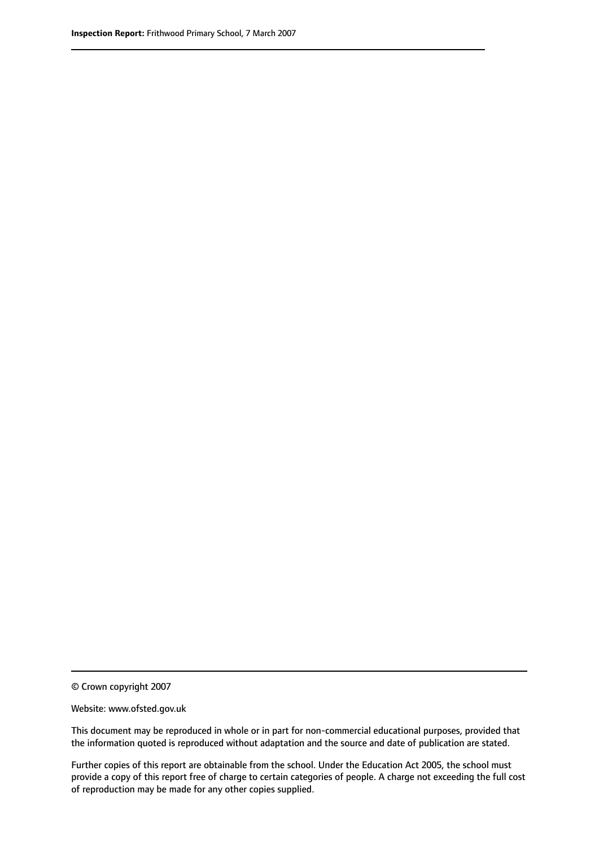© Crown copyright 2007

Website: www.ofsted.gov.uk

This document may be reproduced in whole or in part for non-commercial educational purposes, provided that the information quoted is reproduced without adaptation and the source and date of publication are stated.

Further copies of this report are obtainable from the school. Under the Education Act 2005, the school must provide a copy of this report free of charge to certain categories of people. A charge not exceeding the full cost of reproduction may be made for any other copies supplied.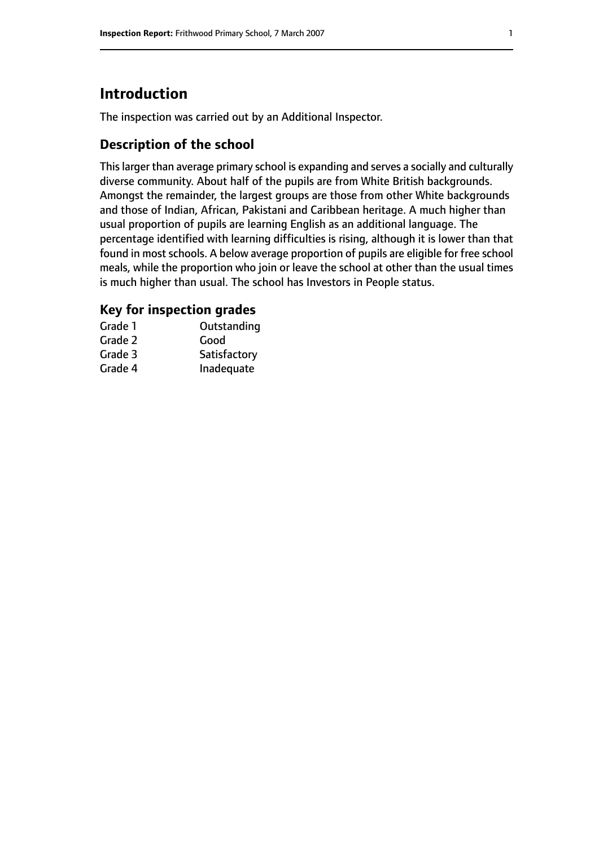# **Introduction**

The inspection was carried out by an Additional Inspector.

# **Description of the school**

Thislarger than average primary school is expanding and serves a socially and culturally diverse community. About half of the pupils are from White British backgrounds. Amongst the remainder, the largest groups are those from other White backgrounds and those of Indian, African, Pakistani and Caribbean heritage. A much higher than usual proportion of pupils are learning English as an additional language. The percentage identified with learning difficulties is rising, although it is lower than that found in most schools. A below average proportion of pupils are eligible for free school meals, while the proportion who join or leave the school at other than the usual times is much higher than usual. The school has Investors in People status.

# **Key for inspection grades**

| Grade 1 | Outstanding  |
|---------|--------------|
| Grade 2 | Good         |
| Grade 3 | Satisfactory |
| Grade 4 | Inadequate   |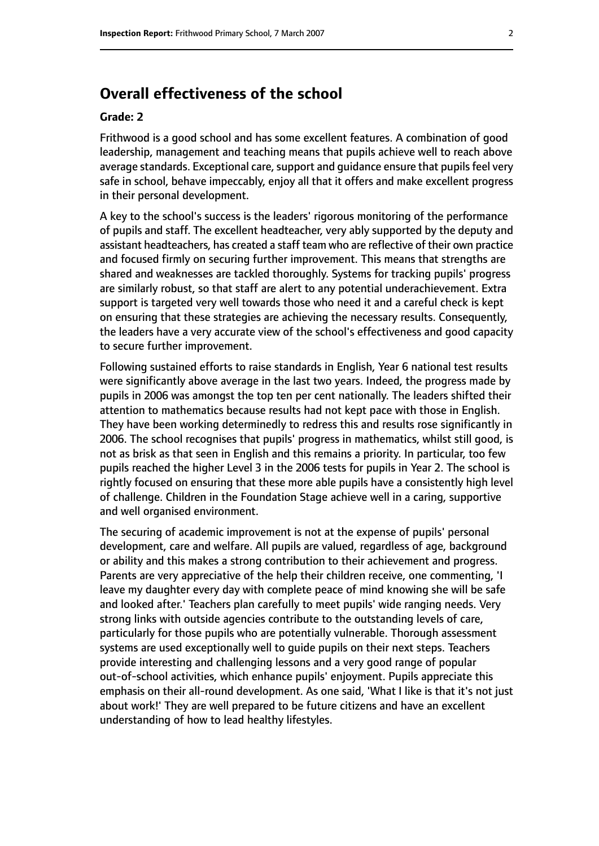# **Overall effectiveness of the school**

#### **Grade: 2**

Frithwood is a good school and has some excellent features. A combination of good leadership, management and teaching means that pupils achieve well to reach above average standards. Exceptional care, support and guidance ensure that pupils feel very safe in school, behave impeccably, enjoy all that it offers and make excellent progress in their personal development.

A key to the school's success is the leaders' rigorous monitoring of the performance of pupils and staff. The excellent headteacher, very ably supported by the deputy and assistant headteachers, has created a staff team who are reflective of their own practice and focused firmly on securing further improvement. This means that strengths are shared and weaknesses are tackled thoroughly. Systems for tracking pupils' progress are similarly robust, so that staff are alert to any potential underachievement. Extra support is targeted very well towards those who need it and a careful check is kept on ensuring that these strategies are achieving the necessary results. Consequently, the leaders have a very accurate view of the school's effectiveness and good capacity to secure further improvement.

Following sustained efforts to raise standards in English, Year 6 national test results were significantly above average in the last two years. Indeed, the progress made by pupils in 2006 was amongst the top ten per cent nationally. The leaders shifted their attention to mathematics because results had not kept pace with those in English. They have been working determinedly to redress this and results rose significantly in 2006. The school recognises that pupils' progress in mathematics, whilst still good, is not as brisk as that seen in English and this remains a priority. In particular, too few pupils reached the higher Level 3 in the 2006 tests for pupils in Year 2. The school is rightly focused on ensuring that these more able pupils have a consistently high level of challenge. Children in the Foundation Stage achieve well in a caring, supportive and well organised environment.

The securing of academic improvement is not at the expense of pupils' personal development, care and welfare. All pupils are valued, regardless of age, background or ability and this makes a strong contribution to their achievement and progress. Parents are very appreciative of the help their children receive, one commenting, 'I leave my daughter every day with complete peace of mind knowing she will be safe and looked after.' Teachers plan carefully to meet pupils' wide ranging needs. Very strong links with outside agencies contribute to the outstanding levels of care, particularly for those pupils who are potentially vulnerable. Thorough assessment systems are used exceptionally well to guide pupils on their next steps. Teachers provide interesting and challenging lessons and a very good range of popular out-of-school activities, which enhance pupils' enjoyment. Pupils appreciate this emphasis on their all-round development. As one said, 'What I like is that it's not just about work!' They are well prepared to be future citizens and have an excellent understanding of how to lead healthy lifestyles.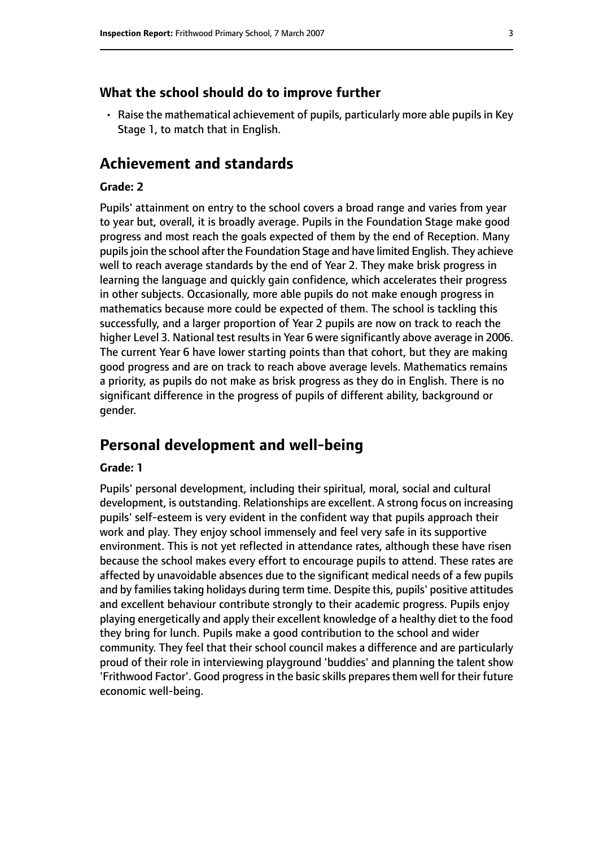#### **What the school should do to improve further**

• Raise the mathematical achievement of pupils, particularly more able pupils in Key Stage 1, to match that in English.

# **Achievement and standards**

#### **Grade: 2**

Pupils' attainment on entry to the school covers a broad range and varies from year to year but, overall, it is broadly average. Pupils in the Foundation Stage make good progress and most reach the goals expected of them by the end of Reception. Many pupils join the school after the Foundation Stage and have limited English. They achieve well to reach average standards by the end of Year 2. They make brisk progress in learning the language and quickly gain confidence, which accelerates their progress in other subjects. Occasionally, more able pupils do not make enough progress in mathematics because more could be expected of them. The school is tackling this successfully, and a larger proportion of Year 2 pupils are now on track to reach the higher Level 3. National test results in Year 6 were significantly above average in 2006. The current Year 6 have lower starting points than that cohort, but they are making good progress and are on track to reach above average levels. Mathematics remains a priority, as pupils do not make as brisk progress as they do in English. There is no significant difference in the progress of pupils of different ability, background or gender.

# **Personal development and well-being**

#### **Grade: 1**

Pupils' personal development, including their spiritual, moral, social and cultural development, is outstanding. Relationships are excellent. A strong focus on increasing pupils' self-esteem is very evident in the confident way that pupils approach their work and play. They enjoy school immensely and feel very safe in its supportive environment. This is not yet reflected in attendance rates, although these have risen because the school makes every effort to encourage pupils to attend. These rates are affected by unavoidable absences due to the significant medical needs of a few pupils and by families taking holidays during term time. Despite this, pupils' positive attitudes and excellent behaviour contribute strongly to their academic progress. Pupils enjoy playing energetically and apply their excellent knowledge of a healthy diet to the food they bring for lunch. Pupils make a good contribution to the school and wider community. They feel that their school council makes a difference and are particularly proud of their role in interviewing playground 'buddies' and planning the talent show 'Frithwood Factor'. Good progress in the basic skills prepares them well for their future economic well-being.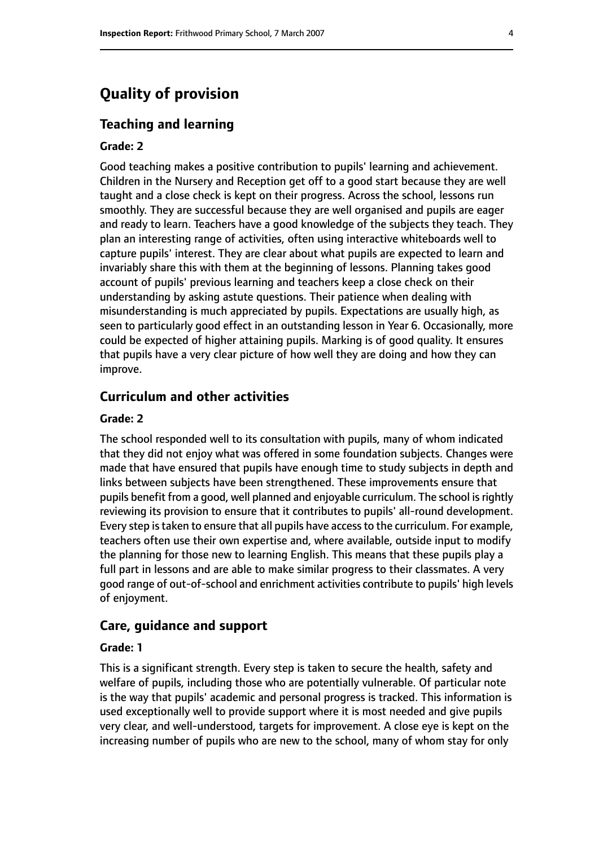# **Quality of provision**

#### **Teaching and learning**

#### **Grade: 2**

Good teaching makes a positive contribution to pupils' learning and achievement. Children in the Nursery and Reception get off to a good start because they are well taught and a close check is kept on their progress. Across the school, lessons run smoothly. They are successful because they are well organised and pupils are eager and ready to learn. Teachers have a good knowledge of the subjects they teach. They plan an interesting range of activities, often using interactive whiteboards well to capture pupils' interest. They are clear about what pupils are expected to learn and invariably share this with them at the beginning of lessons. Planning takes good account of pupils' previous learning and teachers keep a close check on their understanding by asking astute questions. Their patience when dealing with misunderstanding is much appreciated by pupils. Expectations are usually high, as seen to particularly good effect in an outstanding lesson in Year 6. Occasionally, more could be expected of higher attaining pupils. Marking is of good quality. It ensures that pupils have a very clear picture of how well they are doing and how they can improve.

#### **Curriculum and other activities**

#### **Grade: 2**

The school responded well to its consultation with pupils, many of whom indicated that they did not enjoy what was offered in some foundation subjects. Changes were made that have ensured that pupils have enough time to study subjects in depth and links between subjects have been strengthened. These improvements ensure that pupils benefit from a good, well planned and enjoyable curriculum. The school is rightly reviewing its provision to ensure that it contributes to pupils' all-round development. Every step is taken to ensure that all pupils have access to the curriculum. For example, teachers often use their own expertise and, where available, outside input to modify the planning for those new to learning English. This means that these pupils play a full part in lessons and are able to make similar progress to their classmates. A very good range of out-of-school and enrichment activities contribute to pupils' high levels of enjoyment.

#### **Care, guidance and support**

#### **Grade: 1**

This is a significant strength. Every step is taken to secure the health, safety and welfare of pupils, including those who are potentially vulnerable. Of particular note is the way that pupils' academic and personal progress is tracked. This information is used exceptionally well to provide support where it is most needed and give pupils very clear, and well-understood, targets for improvement. A close eye is kept on the increasing number of pupils who are new to the school, many of whom stay for only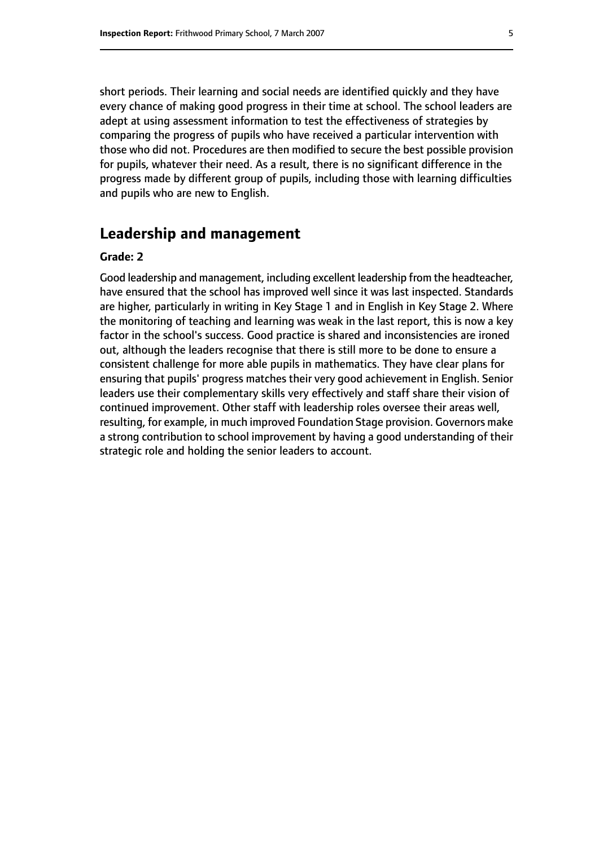short periods. Their learning and social needs are identified quickly and they have every chance of making good progress in their time at school. The school leaders are adept at using assessment information to test the effectiveness of strategies by comparing the progress of pupils who have received a particular intervention with those who did not. Procedures are then modified to secure the best possible provision for pupils, whatever their need. As a result, there is no significant difference in the progress made by different group of pupils, including those with learning difficulties and pupils who are new to English.

# **Leadership and management**

#### **Grade: 2**

Good leadership and management, including excellent leadership from the headteacher, have ensured that the school has improved well since it was last inspected. Standards are higher, particularly in writing in Key Stage 1 and in English in Key Stage 2. Where the monitoring of teaching and learning was weak in the last report, this is now a key factor in the school's success. Good practice is shared and inconsistencies are ironed out, although the leaders recognise that there is still more to be done to ensure a consistent challenge for more able pupils in mathematics. They have clear plans for ensuring that pupils' progress matches their very good achievement in English. Senior leaders use their complementary skills very effectively and staff share their vision of continued improvement. Other staff with leadership roles oversee their areas well, resulting, for example, in much improved Foundation Stage provision. Governors make a strong contribution to school improvement by having a good understanding of their strategic role and holding the senior leaders to account.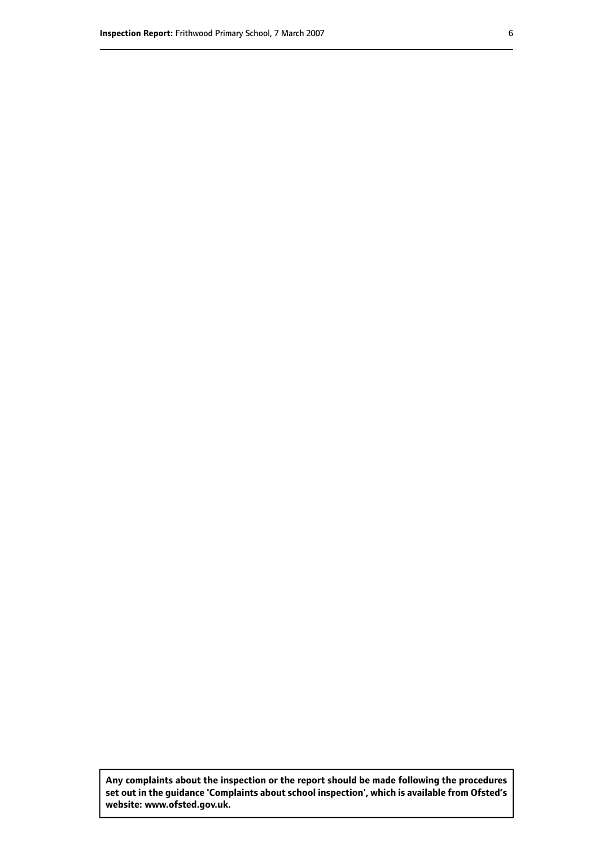**Any complaints about the inspection or the report should be made following the procedures set out inthe guidance 'Complaints about school inspection', whichis available from Ofsted's website: www.ofsted.gov.uk.**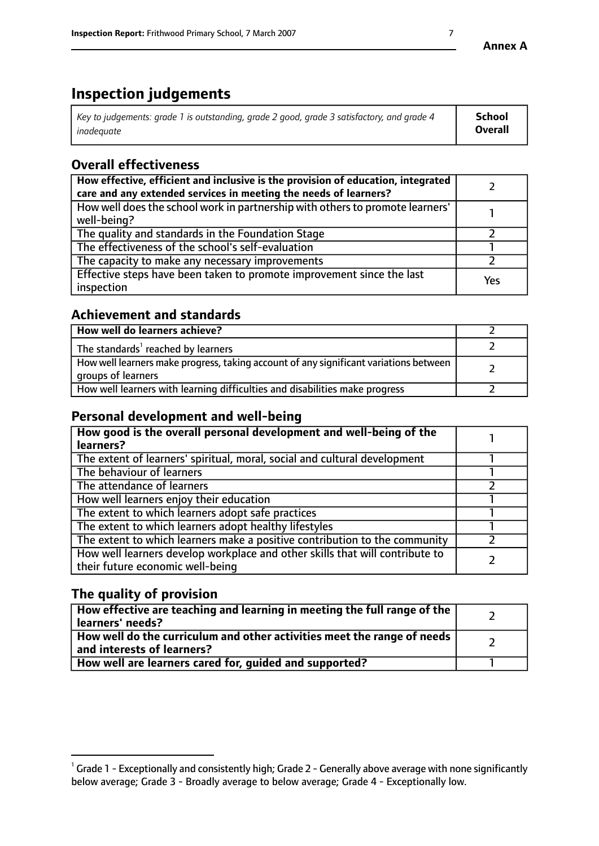# **Inspection judgements**

| $^{\circ}$ Key to judgements: grade 1 is outstanding, grade 2 good, grade 3 satisfactory, and grade 4 $^{\circ}$ | School         |
|------------------------------------------------------------------------------------------------------------------|----------------|
| inadequate                                                                                                       | <b>Overall</b> |

# **Overall effectiveness**

| How effective, efficient and inclusive is the provision of education, integrated<br>care and any extended services in meeting the needs of learners? |     |
|------------------------------------------------------------------------------------------------------------------------------------------------------|-----|
| How well does the school work in partnership with others to promote learners'<br>well-being?                                                         |     |
| The quality and standards in the Foundation Stage                                                                                                    |     |
| The effectiveness of the school's self-evaluation                                                                                                    |     |
| The capacity to make any necessary improvements                                                                                                      |     |
| Effective steps have been taken to promote improvement since the last<br>inspection                                                                  | Yes |

# **Achievement and standards**

| How well do learners achieve?                                                                               |  |
|-------------------------------------------------------------------------------------------------------------|--|
| The standards <sup>1</sup> reached by learners                                                              |  |
| How well learners make progress, taking account of any significant variations between<br>groups of learners |  |
| How well learners with learning difficulties and disabilities make progress                                 |  |

# **Personal development and well-being**

| How good is the overall personal development and well-being of the<br>learners?                                  |  |
|------------------------------------------------------------------------------------------------------------------|--|
| The extent of learners' spiritual, moral, social and cultural development                                        |  |
| The behaviour of learners                                                                                        |  |
| The attendance of learners                                                                                       |  |
| How well learners enjoy their education                                                                          |  |
| The extent to which learners adopt safe practices                                                                |  |
| The extent to which learners adopt healthy lifestyles                                                            |  |
| The extent to which learners make a positive contribution to the community                                       |  |
| How well learners develop workplace and other skills that will contribute to<br>their future economic well-being |  |

# **The quality of provision**

| How effective are teaching and learning in meeting the full range of the<br>  learners' needs?                      |  |
|---------------------------------------------------------------------------------------------------------------------|--|
| $\mid$ How well do the curriculum and other activities meet the range of needs<br>$\mid$ and interests of learners? |  |
| How well are learners cared for, guided and supported?                                                              |  |

 $^1$  Grade 1 - Exceptionally and consistently high; Grade 2 - Generally above average with none significantly below average; Grade 3 - Broadly average to below average; Grade 4 - Exceptionally low.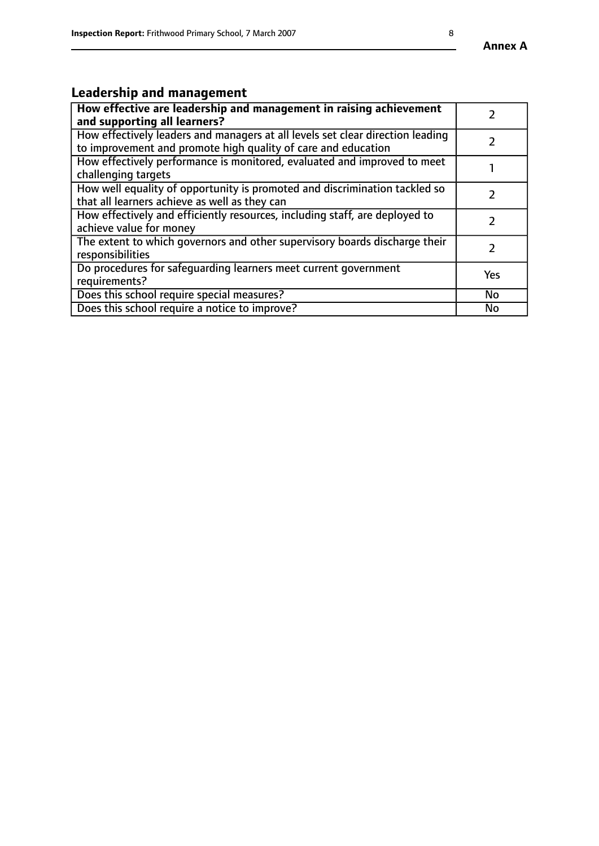# **Leadership and management**

| How effective are leadership and management in raising achievement<br>and supporting all learners?                                              |           |
|-------------------------------------------------------------------------------------------------------------------------------------------------|-----------|
| How effectively leaders and managers at all levels set clear direction leading<br>to improvement and promote high quality of care and education |           |
| How effectively performance is monitored, evaluated and improved to meet<br>challenging targets                                                 |           |
| How well equality of opportunity is promoted and discrimination tackled so<br>that all learners achieve as well as they can                     |           |
| How effectively and efficiently resources, including staff, are deployed to<br>achieve value for money                                          |           |
| The extent to which governors and other supervisory boards discharge their<br>responsibilities                                                  |           |
| Do procedures for safequarding learners meet current government<br>requirements?                                                                | Yes       |
| Does this school require special measures?                                                                                                      | <b>No</b> |
| Does this school require a notice to improve?                                                                                                   | No        |